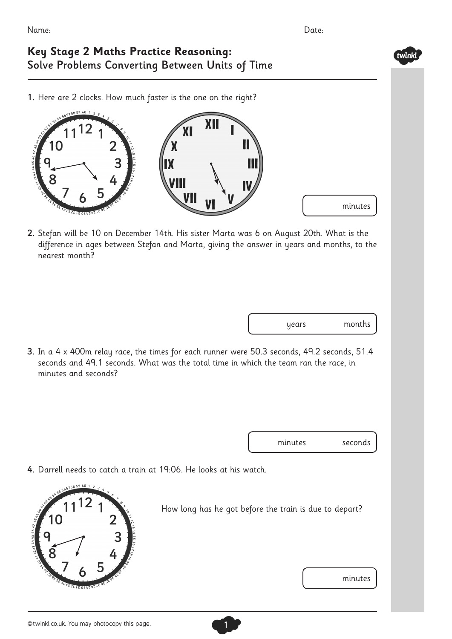twinkl

## **Key Stage 2 Maths Practice Reasoning:** Solve Problems Converting Between Units of Time

1. Here are 2 clocks. How much faster is the one on the right?



2. Stefan will be 10 on December 14th. His sister Marta was 6 on August 20th. What is the difference in ages between Stefan and Marta, giving the answer in years and months, to the nearest month?

3. In a 4 x 400m relay race, the times for each runner were 50.3 seconds, 49.2 seconds, 51.4 seconds and 49.1 seconds. What was the total time in which the team ran the race, in minutes and seconds?

minutes seconds

4. Darrell needs to catch a train at 19:06. He looks at his watch.



How long has he got before the train is due to depart?

1

minutes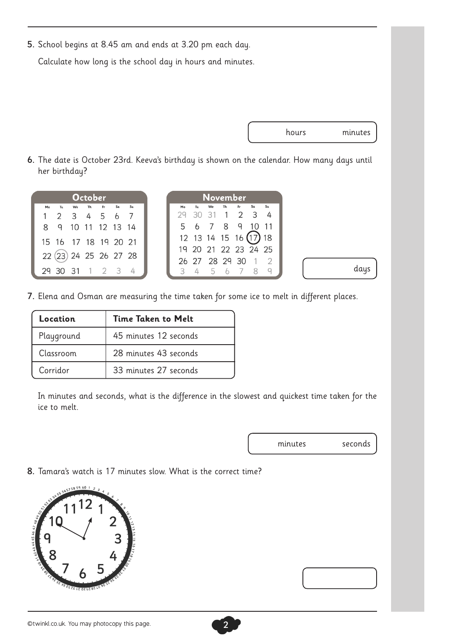5. School begins at 8.45 am and ends at 3.20 pm each day.

Calculate how long is the school day in hours and minutes.



days

6. The date is October 23rd. Keeva's birthday is shown on the calendar. How many days until her birthday?

| <b>October</b>                                      | <b>November</b>                         |
|-----------------------------------------------------|-----------------------------------------|
| Sa<br>Fr<br>$S_{II}$<br><b>Th</b><br>Mo<br>Tш<br>We | Sa<br>Su<br>Fr.<br>Th<br>Tu<br>We<br>Mo |
| 2 3 4 5 6 7                                         | $1\quad 2\quad 3$<br>- 31               |
| 10 11 12 13 14<br>89                                | 5 6 7 8 9                               |
| 15 16 17 18 19 20 21                                | $12$ 13 14 15 16 $(17)$<br>18           |
|                                                     | 19 20 21 22 23 24 25                    |
| 22 (23) 24 25 26 27 28                              | 26 27 28 29 30                          |
| 29 30 31<br>$1 \t2 \t3$                             |                                         |

7. Elena and Osman are measuring the time taken for some ice to melt in different places.

| Location   | Time Taken to Melt    |
|------------|-----------------------|
| Playground | 45 minutes 12 seconds |
| Classroom  | 28 minutes 43 seconds |
| Corridor   | 33 minutes 27 seconds |

In minutes and seconds, what is the difference in the slowest and quickest time taken for the ice to melt.

minutes seconds

8. Tamara's watch is 17 minutes slow. What is the correct time?

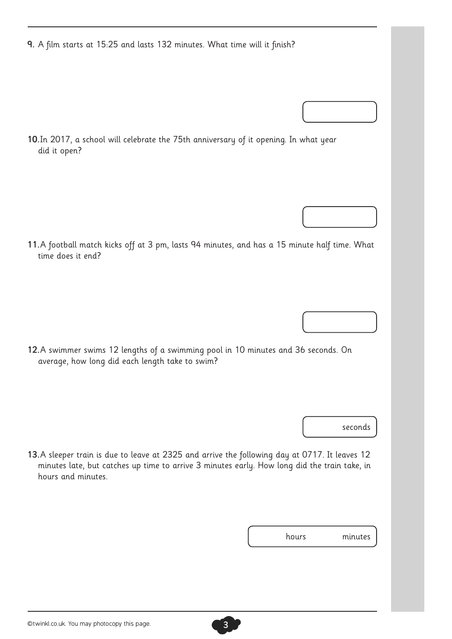9. A film starts at 15:25 and lasts 132 minutes. What time will it finish?

10.In 2017, a school will celebrate the 75th anniversary of it opening. In what year did it open?

11.A football match kicks off at 3 pm, lasts 94 minutes, and has a 15 minute half time. What time does it end?

12.A swimmer swims 12 lengths of a swimming pool in 10 minutes and 36 seconds. On average, how long did each length take to swim?

seconds

13.A sleeper train is due to leave at 2325 and arrive the following day at 0717. It leaves 12 minutes late, but catches up time to arrive 3 minutes early. How long did the train take, in hours and minutes.

| minutes<br>hours |
|------------------|
|------------------|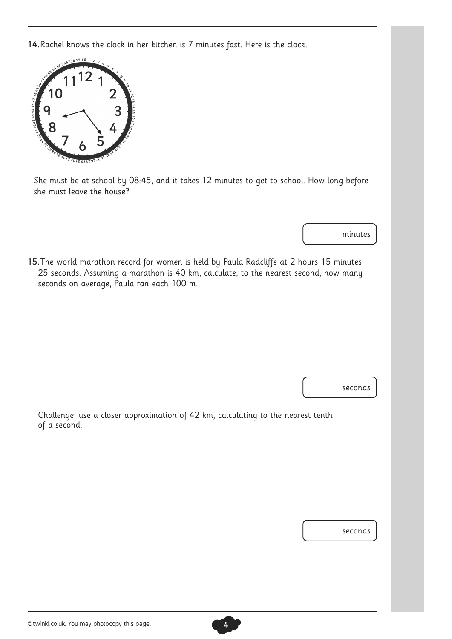14.Rachel knows the clock in her kitchen is 7 minutes fast. Here is the clock.



She must be at school by 08:45, and it takes 12 minutes to get to school. How long before she must leave the house?

minutes

15.The world marathon record for women is held by Paula Radcliffe at 2 hours 15 minutes 25 seconds. Assuming a marathon is 40 km, calculate, to the nearest second, how many seconds on average, Paula ran each 100 m.

seconds

Challenge: use a closer approximation of 42 km, calculating to the nearest tenth of a second.

seconds